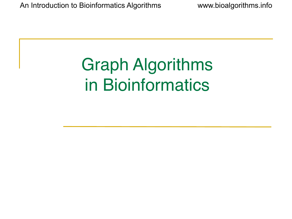### Graph Algorithms in Bioinformatics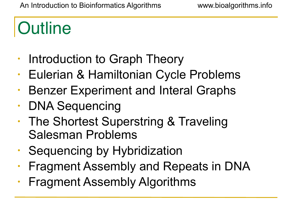# **Outline**

- Introduction to Graph Theory
- Eulerian & Hamiltonian Cycle Problems
- Benzer Experiment and Interal Graphs
- DNA Sequencing
- The Shortest Superstring & Traveling Salesman Problems
- Sequencing by Hybridization
- Fragment Assembly and Repeats in DNA
- Fragment Assembly Algorithms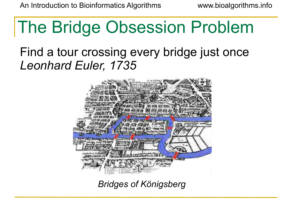### The Bridge Obsession Problem

#### Find a tour crossing every bridge just once *Leonhard Euler, 1735*



*Bridges of Königsberg*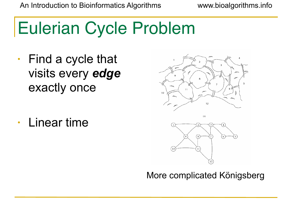# Eulerian Cycle Problem

- Find a cycle that visits every *edge*  exactly once
- Linear time



#### More complicated Königsberg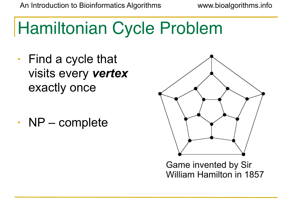# Hamiltonian Cycle Problem

- Find a cycle that visits every *vertex* exactly once
- NP complete



Game invented by Sir William Hamilton in 1857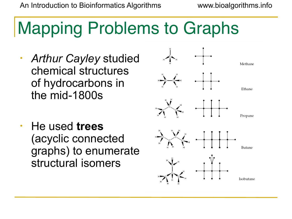# Mapping Problems to Graphs

- *• Arthur Cayley* studied chemical structures of hydrocarbons in the mid-1800s
- He used **trees** (acyclic connected graphs) to enumerate structural isomers

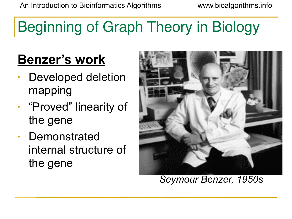#### Beginning of Graph Theory in Biology

#### **Benzer's work**

- Developed deletion mapping
- "Proved" linearity of the gene
- Demonstrated internal structure of the gene



*Seymour Benzer, 1950s*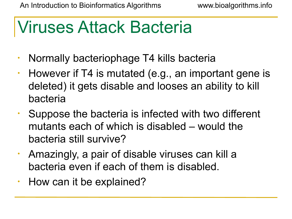#### Viruses Attack Bacteria

- Normally bacteriophage T4 kills bacteria
- However if T4 is mutated (e.g., an important gene is deleted) it gets disable and looses an ability to kill bacteria
- Suppose the bacteria is infected with two different mutants each of which is disabled – would the bacteria still survive?
- Amazingly, a pair of disable viruses can kill a bacteria even if each of them is disabled.
- How can it be explained?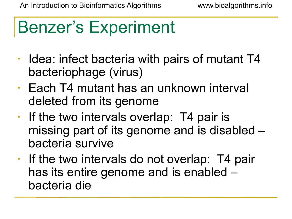### Benzer's Experiment

- Idea: infect bacteria with pairs of mutant T4 bacteriophage (virus)
- Each T4 mutant has an unknown interval deleted from its genome
- If the two intervals overlap: T4 pair is missing part of its genome and is disabled – bacteria survive
- If the two intervals do not overlap: T4 pair has its entire genome and is enabled – bacteria die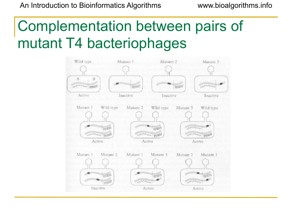#### Complementation between pairs of mutant T4 bacteriophages

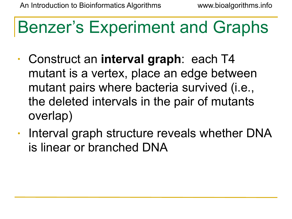#### Benzer's Experiment and Graphs

- Construct an **interval graph**: each T4 mutant is a vertex, place an edge between mutant pairs where bacteria survived (i.e., the deleted intervals in the pair of mutants overlap)
- Interval graph structure reveals whether DNA is linear or branched DNA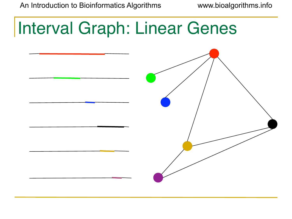# Interval Graph: Linear Genes

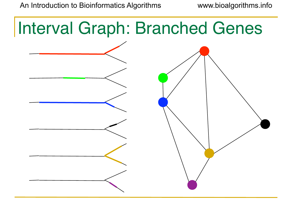## Interval Graph: Branched Genes

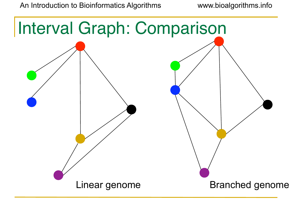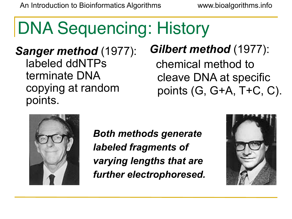# DNA Sequencing: History

*Sanger method* (1977): labeled ddNTPs terminate DNA copying at random points.

#### *Gilbert method* (1977):

 chemical method to cleave DNA at specific points (G, G+A, T+C, C).



*Both methods generate labeled fragments of varying lengths that are further electrophoresed.*

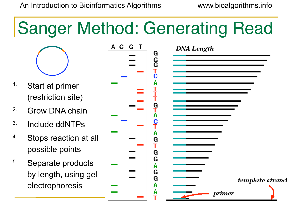# Sanger Method: Generating Read



- 1. Start at primer (restriction site)
- 2. Grow DNA chain
- 3. Include ddNTPs
- 4. Stops reaction at all possible points
- 5. Separate products by length, using gel electrophoresis

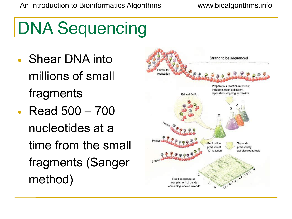# DNA Sequencing

- Shear DNA into millions of small fragments
- Read 500 700 nucleotides at a time from the small fragments (Sanger method)

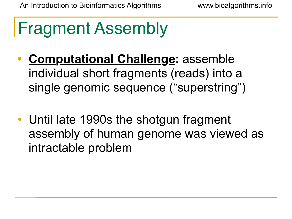# Fragment Assembly

- **• Computational Challenge:** assemble individual short fragments (reads) into a single genomic sequence ("superstring")
- Until late 1990s the shotgun fragment assembly of human genome was viewed as intractable problem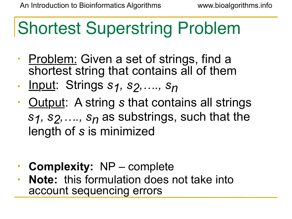# Shortest Superstring Problem

- Problem: Given a set of strings, find a shortest string that contains all of them
- Input: Strings *s1, s2,…., sn*
- Output: A string *s* that contains all strings  *s1, s2,…., sn* as substrings, such that the length of *s* is minimized
- **• Complexity:** NP complete
- **• Note:** this formulation does not take into account sequencing errors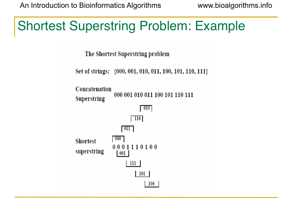#### Shortest Superstring Problem: Example

The Shortest Superstring problem

Set of strings: {000, 001, 010, 011, 100, 101, 110, 111}

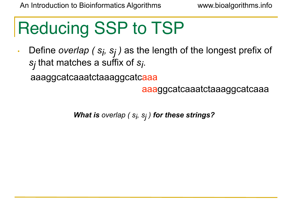# Reducing SSP to TSP

• Define *overlap (s<sub>i</sub>, s<sub>j</sub>)* as the length of the longest prefix of *sj* that matches a suffix of *si* .

aaaggcatcaaatctaaaggcatcaaa

aaaggcatcaaatctaaaggcatcaaa

*What is overlap ( si , sj ) for these strings?*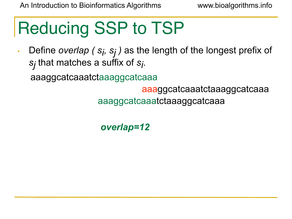# Reducing SSP to TSP

• Define *overlap (s<sub>i</sub>, s<sub>j</sub>)* as the length of the longest prefix of *sj* that matches a suffix of *si* .

aaaggcatcaaatctaaaggcatcaaa

aaaggcatcaaatctaaaggcatcaaa

aaaggcatcaaatctaaaggcatcaaa

*overlap=12*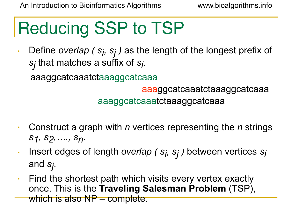# Reducing SSP to TSP

• Define *overlap (s<sub>i</sub>, s<sub>j</sub>)* as the length of the longest prefix of *sj* that matches a suffix of *si* .

aaaggcatcaaatctaaaggcatcaaa

aaaggcatcaaatctaaaggcatcaaa

aaaggcatcaaatctaaaggcatcaaa

- Construct a graph with *n* vertices representing the *n* strings *s1, s2,…., sn*.
- Insert edges of length *overlap ( si , sj )* between vertices *si* and *sj* .
- Find the shortest path which visits every vertex exactly once. This is the **Traveling Salesman Problem** (TSP), which is also NP – complete.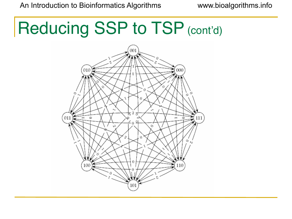## Reducing SSP to TSP (cont'd)

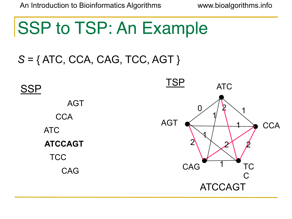#### **SSP to TSP: An Example**

#### *S* = { ATC, CCA, CAG, TCC, AGT }

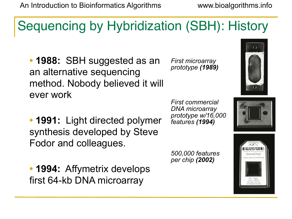#### Sequencing by Hybridization (SBH): History

**• 1988:** SBH suggested as an an alternative sequencing method. Nobody believed it will ever work

**• 1991:** Light directed polymer synthesis developed by Steve Fodor and colleagues.

> *500,000 features per chip (2002)*







*First commercial DNA microarray prototype w/16,000 features (1994)*

*First microarray prototype (1989)*

**• 1994:** Affymetrix develops first 64-kb DNA microarray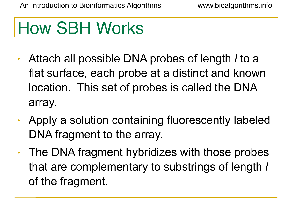## How SBH Works

- Attach all possible DNA probes of length *l* to a flat surface, each probe at a distinct and known location. This set of probes is called the DNA array.
- Apply a solution containing fluorescently labeled DNA fragment to the array.
- The DNA fragment hybridizes with those probes that are complementary to substrings of length *l* of the fragment.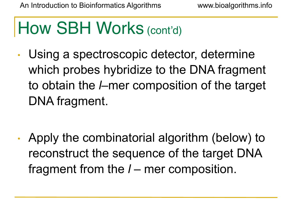### How SBH Works (cont'd)

• Using a spectroscopic detector, determine which probes hybridize to the DNA fragment to obtain the *l*–mer composition of the target DNA fragment.

• Apply the combinatorial algorithm (below) to reconstruct the sequence of the target DNA fragment from the *l* – mer composition.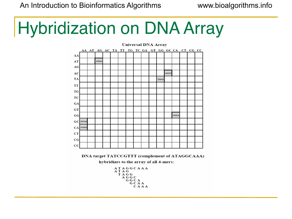# Hybridization on DNA Array

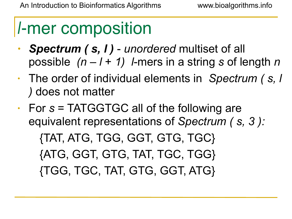### l-mer composition

- *• Spectrum ( s, l ) unordered* multiset of all possible *(n – l* + *1) l*-mers in a string *s* of length *n*
- The order of individual elements in *Spectrum ( s, l )* does not matter
- For *s* = TATGGTGC all of the following are equivalent representations of *Spectrum ( s, 3 ):*

 {TAT, ATG, TGG, GGT, GTG, TGC} {ATG, GGT, GTG, TAT, TGC, TGG} {TGG, TGC, TAT, GTG, GGT, ATG}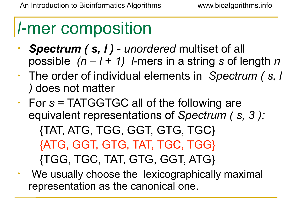#### l-mer composition

- *• Spectrum ( s, l ) unordered* multiset of all possible *(n – l* + *1) l*-mers in a string *s* of length *n*
- The order of individual elements in *Spectrum ( s, l )* does not matter
- For *s* = TATGGTGC all of the following are equivalent representations of *Spectrum ( s, 3 ):*  {TAT, ATG, TGG, GGT, GTG, TGC} {ATG, GGT, GTG, TAT, TGC, TGG} {TGG, TGC, TAT, GTG, GGT, ATG}
- We usually choose the lexicographically maximal representation as the canonical one.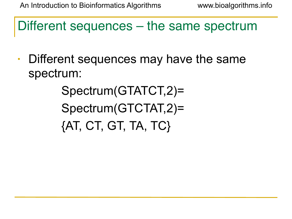Different sequences – the same spectrum

• Different sequences may have the same spectrum:

> Spectrum(GTATCT,2)= Spectrum(GTCTAT,2)= {AT, CT, GT, TA, TC}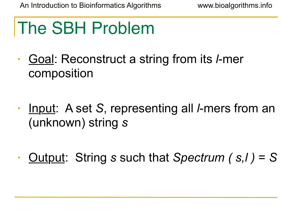# The SBH Problem

- Goal: Reconstruct a string from its *l*-mer composition
- Input: A set *S*, representing all *l*-mers from an (unknown) string *s*
- Output: String *s* such that *Spectrum ( s,l )* = *S*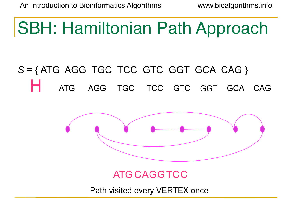### SBH: Hamiltonian Path Approach

#### *S* = { ATG AGG TGC TCC GTC GGT GCA CAG } ATG AGG TGC TCC GTC GGT GCA CAG



ATG CAGGTCC

Path visited every VERTEX once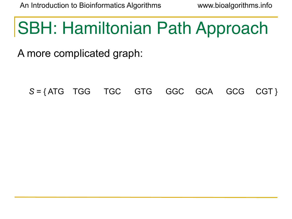### SBH: Hamiltonian Path Approach

A more complicated graph:

 *S* = { ATG TGG TGC GTG GGC GCA GCG CGT }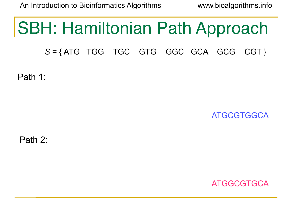#### SBH: Hamiltonian Path Approach

 *S* = { ATG TGG TGC GTG GGC GCA GCG CGT }

Path 1:

ATGCGTGGCA

Path 2:

ATGGCGTGCA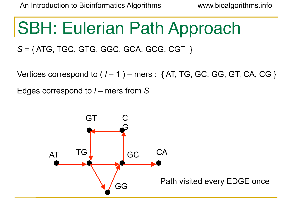### SBH: Eulerian Path Approach

 *S* = { ATG, TGC, GTG, GGC, GCA, GCG, CGT }

Vertices correspond to  $(1 - 1)$  – mers :  $\{AT, TG, GC, GG, GT, CA, CG\}$ 

Edges correspond to *l* – mers from *S*

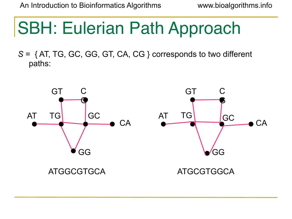### SBH: Eulerian Path Approach

*S* = { AT, TG, GC, GG, GT, CA, CG } corresponds to two different paths:

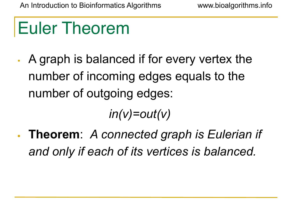### Euler Theorem

• A graph is balanced if for every vertex the number of incoming edges equals to the number of outgoing edges:

 *in(v)=out(v)*

**• Theorem**: *A connected graph is Eulerian if and only if each of its vertices is balanced.*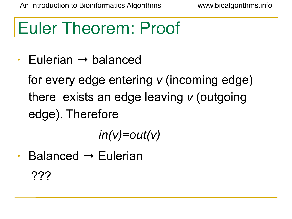### Euler Theorem: Proof

• Eulerian  $\rightarrow$  balanced

 for every edge entering *v* (incoming edge) there exists an edge leaving *v* (outgoing edge). Therefore

*in(v)=out(v)*

• Balanced → Eulerian ???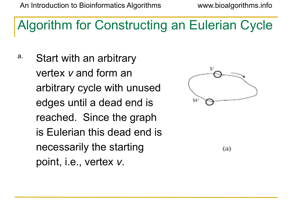### Algorithm for Constructing an Eulerian Cycle

a. Start with an arbitrary vertex *v* and form an arbitrary cycle with unused edges until a dead end is reached. Since the graph is Eulerian this dead end is necessarily the starting point, i.e., vertex *v*.



 $(a)$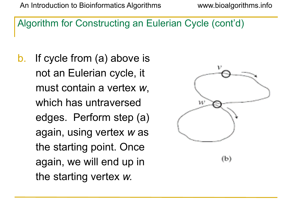#### Algorithm for Constructing an Eulerian Cycle (cont'd)

b. If cycle from (a) above is not an Eulerian cycle, it must contain a vertex *w*, which has untraversed edges. Perform step (a) again, using vertex *w* as the starting point. Once again, we will end up in the starting vertex *w.*

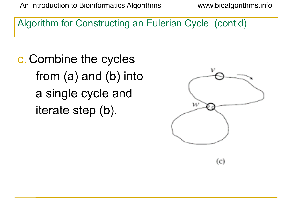Algorithm for Constructing an Eulerian Cycle (cont'd)

c. Combine the cycles from (a) and (b) into a single cycle and iterate step (b).

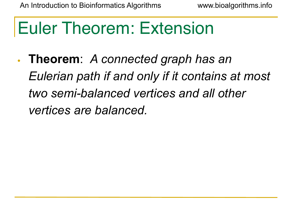### Euler Theorem: Extension

**• Theorem**: *A connected graph has an Eulerian path if and only if it contains at most two semi-balanced vertices and all other vertices are balanced.*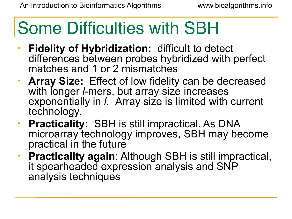### Some Difficulties with SBH

- **• Fidelity of Hybridization:** difficult to detect differences between probes hybridized with perfect matches and 1 or 2 mismatches
- **• Array Size:** Effect of low fidelity can be decreased with longer *I*-mers, but array size increases exponentially in *l.* Array size is limited with current technology.
- **• Practicality:** SBH is still impractical. As DNA microarray technology improves, SBH may become practical in the future
- **• Practicality again**: Although SBH is still impractical, it spearheaded expression analysis and SNP analysis techniques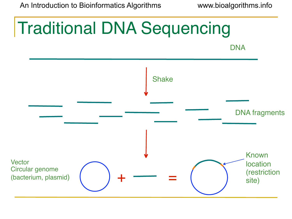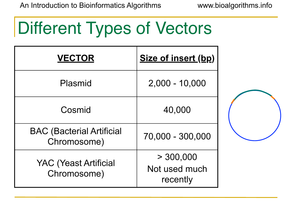### Different Types of Vectors

| <b>VECTOR</b>                                   | <b>Size of insert (bp)</b>             |  |  |
|-------------------------------------------------|----------------------------------------|--|--|
| Plasmid                                         | $2,000 - 10,000$                       |  |  |
| Cosmid                                          | 40,000                                 |  |  |
| <b>BAC (Bacterial Artificial</b><br>Chromosome) | 70,000 - 300,000                       |  |  |
| <b>YAC (Yeast Artificial</b><br>Chromosome)     | > 300,000<br>Not used much<br>recently |  |  |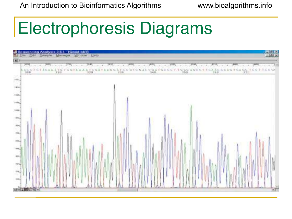### Electrophoresis Diagrams

| 圆                                   | - Sequencing Assiyon 36.1-(Geod.nbl)<br>- Ele Col Samps Hanger Modes                                                                                                                                                                                                                                                                                                                                                                  | Manager Window Help |                 |     |                      |                         | andrian<br>Piloten       |
|-------------------------------------|---------------------------------------------------------------------------------------------------------------------------------------------------------------------------------------------------------------------------------------------------------------------------------------------------------------------------------------------------------------------------------------------------------------------------------------|---------------------|-----------------|-----|----------------------|-------------------------|--------------------------|
| <b>DOME</b>                         | THING.<br>popul,<br>$\frac{1}{100} \cdot \frac{1}{100} \cdot \frac{1}{100} \cdot \frac{1}{100} \cdot \frac{1}{100} \cdot \frac{1}{100} \cdot \frac{1}{100} \cdot \frac{1}{100} \cdot \frac{1}{100} \cdot \frac{1}{100} \cdot \frac{1}{100} \cdot \frac{1}{100} \cdot \frac{1}{100} \cdot \frac{1}{100} \cdot \frac{1}{100} \cdot \frac{1}{100} \cdot \frac{1}{100} \cdot \frac{1}{100} \cdot \frac{1}{100} \cdot \frac{1}{100} \cdot$ | 1945)               | $-100$<br>19.16 | 700 | <b>TERRA</b><br>2020 | $-0.001$<br><b>TAIR</b> | 2400<br><b>The State</b> |
| 1814.                               |                                                                                                                                                                                                                                                                                                                                                                                                                                       |                     |                 |     |                      |                         |                          |
| 10004                               |                                                                                                                                                                                                                                                                                                                                                                                                                                       |                     |                 |     |                      |                         |                          |
| $+1000$<br>14 story                 |                                                                                                                                                                                                                                                                                                                                                                                                                                       |                     |                 |     |                      |                         |                          |
| TIME.                               |                                                                                                                                                                                                                                                                                                                                                                                                                                       |                     |                 |     |                      |                         |                          |
| 970,                                |                                                                                                                                                                                                                                                                                                                                                                                                                                       |                     |                 |     |                      |                         |                          |
| 1964.<br>this.                      |                                                                                                                                                                                                                                                                                                                                                                                                                                       |                     |                 |     |                      |                         |                          |
| $+401$                              |                                                                                                                                                                                                                                                                                                                                                                                                                                       |                     |                 |     |                      |                         |                          |
| tree.                               |                                                                                                                                                                                                                                                                                                                                                                                                                                       |                     |                 |     |                      |                         |                          |
| $\langle \hat{u}   \hat{u} \rangle$ |                                                                                                                                                                                                                                                                                                                                                                                                                                       |                     |                 |     |                      |                         |                          |
| 1942<br>$4.06\pm$                   |                                                                                                                                                                                                                                                                                                                                                                                                                                       |                     |                 |     |                      |                         |                          |
| HOL.                                |                                                                                                                                                                                                                                                                                                                                                                                                                                       |                     |                 |     |                      |                         |                          |
| About 1990's [40] +1                | <b>INTERNATION</b>                                                                                                                                                                                                                                                                                                                                                                                                                    |                     |                 |     |                      |                         | $\pm\Gamma$              |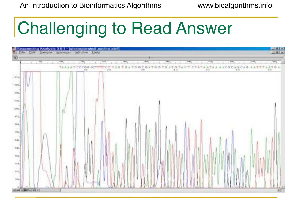# Challenging to Read Answer

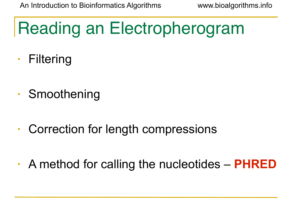# Reading an Electropherogram

- Filtering
- Smoothening
- Correction for length compressions
- A method for calling the nucleotides **PHRED**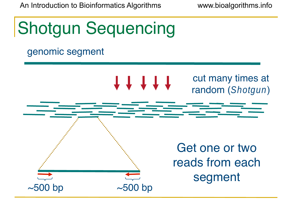

#### genomic segment

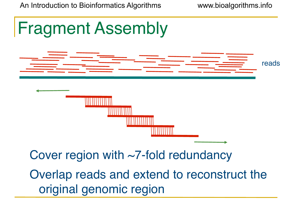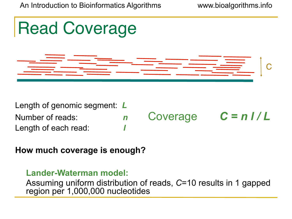

Number of reads: *n* Coverage  $C = n / L$ Length of each read: *l*

**How much coverage is enough?**

#### **Lander-Waterman model:**

Assuming uniform distribution of reads, *C*=10 results in 1 gapped region per 1,000,000 nucleotides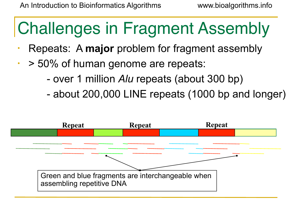# Challenges in Fragment Assembly

- Repeats: A **major** problem for fragment assembly
- $\cdot$  > 50% of human genome are repeats:
	- over 1 million *Alu* repeats (about 300 bp)
	- about 200,000 LINE repeats (1000 bp and longer)

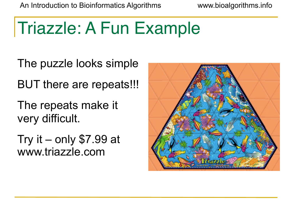### Triazzle: A Fun Example

The puzzle looks simple

BUT there are repeats!!!

The repeats make it very difficult.

Try it – only \$7.99 at www.triazzle.com

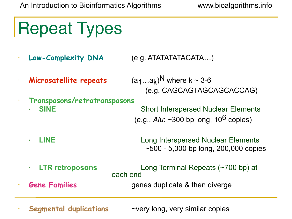Repeat Types

- **• Low-Complexity DNA** (e.g. ATATATATACATA…)
- **Microsatellite repeats**  $(a_1...a_k)^N$  where k ~ 3-6
- **• Transposons/retrotransposons**

(e.g. CAGCAGTAGCAGCACCAG)

**SINE** Short Interspersed Nuclear Elements (e.g., *Alu*: ~300 bp long, 106 copies)

- **• LINE** Long Interspersed Nuclear Elements  $\sim$  500 - 5,000 bp long, 200,000 copies
- **• LTR retroposons** Long Terminal Repeats (~700 bp) at each end **• Gene Families** *Gene* **Genex genes** duplicate & then diverge
- 

**Segmental duplications** ~very long, very similar copies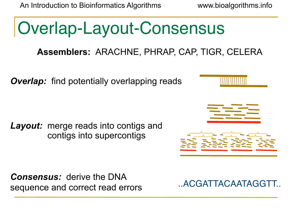# Overlap-Layout-Consensus

#### **Assemblers:** ARACHNE, PHRAP, CAP, TIGR, CELERA

*Overlap:* find potentially overlapping reads

*Layout:* merge reads into contigs and contigs into supercontigs

*Consensus:* derive the DNA sequence and correct read errors ...ACGATTACAATAGGTT...

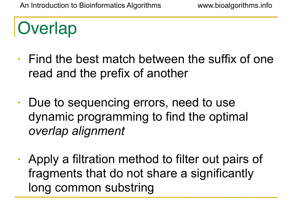### **Overlap**

- Find the best match between the suffix of one read and the prefix of another
- Due to sequencing errors, need to use dynamic programming to find the optimal *overlap alignment*
- Apply a filtration method to filter out pairs of fragments that do not share a significantly long common substring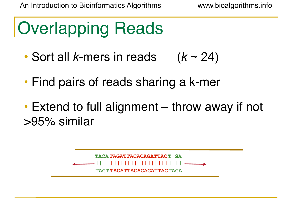## Overlapping Reads

- Sort all *k*-mers in reads (*k* ~ 24)
- Find pairs of reads sharing a k-mer
- Extend to full alignment throw away if not >95% similar

**TACA TAGATTACACAGATTAC T GA**  $\bf TAGT TAGATTACACAGATTAC TAGA$ **||||||||||||||||| | || ||**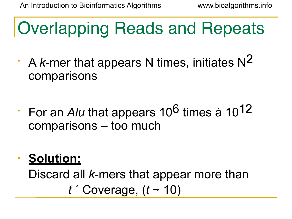Overlapping Reads and Repeats

- A *k*-mer that appears N times, initiates N2 comparisons
- For an *Alu* that appears 10<sup>6</sup> times à 10<sup>12</sup> comparisons – too much
- **• Solution:**

Discard all *k*-mers that appear more than *t* ´ Coverage, (*t* ~ 10)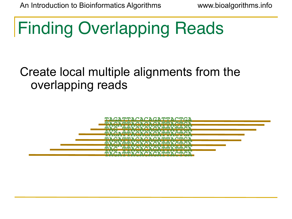## Finding Overlapping Reads

### Create local multiple alignments from the overlapping reads

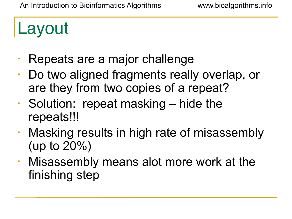### Layout

- Repeats are a major challenge
- Do two aligned fragments really overlap, or are they from two copies of a repeat?
- Solution: repeat masking hide the repeats!!!
- Masking results in high rate of misassembly (up to 20%)
- Misassembly means alot more work at the finishing step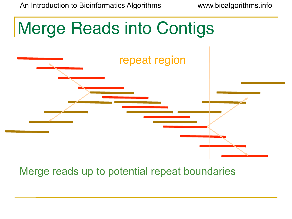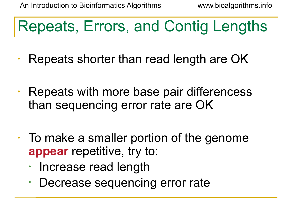### Repeats, Errors, and Contig Lengths

- Repeats shorter than read length are OK
- Repeats with more base pair differencess than sequencing error rate are OK
- To make a smaller portion of the genome **appear** repetitive, try to:
	- Increase read length
	- Decrease sequencing error rate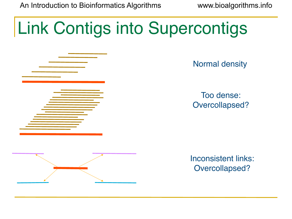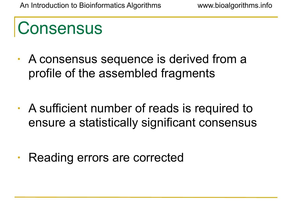### **Consensus**

- A consensus sequence is derived from a profile of the assembled fragments
- A sufficient number of reads is required to ensure a statistically significant consensus
- Reading errors are corrected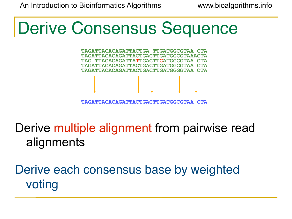### Derive Consensus Sequence

**TAGATTACACAGATTACTGA TTGATGGCGTAA CTA TAGATTACACAGATTACTGACTTGATGGCGTAAACTA TAG TTACACAGATTATTGACTTCATGGCGTAA CTA TAGATTACACAGATTACTGACTTGATGGCGTAA CTA TAGATTACACAGATTACTGACTTGATGGGGTAA CTA**

**TAGATTACACAGATTACTGACTTGATGGCGTAA CTA**

Derive multiple alignment from pairwise read alignments

Derive each consensus base by weighted voting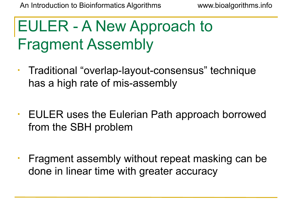### EULER - A New Approach to Fragment Assembly

- Traditional "overlap-layout-consensus" technique has a high rate of mis-assembly
- EULER uses the Eulerian Path approach borrowed from the SBH problem
- Fragment assembly without repeat masking can be done in linear time with greater accuracy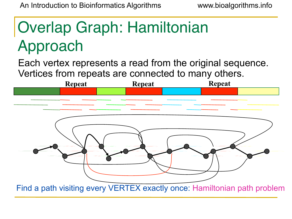### Overlap Graph: Hamiltonian Approach

Each vertex represents a read from the original sequence. Vertices from repeats are connected to many others.

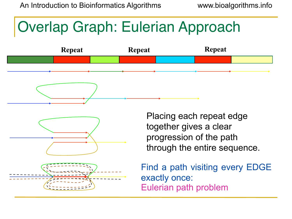### Overlap Graph: Eulerian Approach





Placing each repeat edge together gives a clear progression of the path through the entire sequence.

Find a path visiting every EDGE exactly once: Eulerian path problem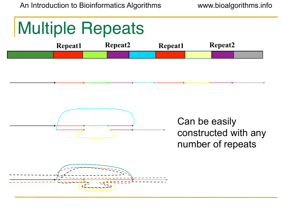### Multiple Repeats





Can be easily constructed with any number of repeats

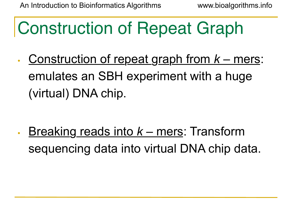## Construction of Repeat Graph

• Construction of repeat graph from *k* – mers: emulates an SBH experiment with a huge (virtual) DNA chip.

• Breaking reads into *k* – mers: Transform sequencing data into virtual DNA chip data.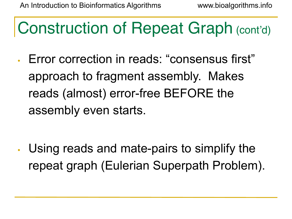## Construction of Repeat Graph (cont'd)

• Error correction in reads: "consensus first" approach to fragment assembly. Makes reads (almost) error-free BEFORE the assembly even starts.

• Using reads and mate-pairs to simplify the repeat graph (Eulerian Superpath Problem).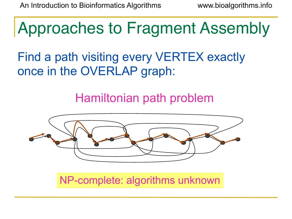Approaches to Fragment Assembly

Find a path visiting every VERTEX exactly once in the OVERLAP graph:

Hamiltonian path problem



NP-complete: algorithms unknown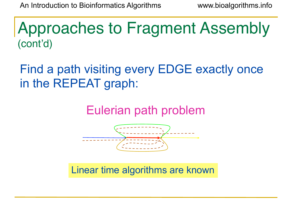Approaches to Fragment Assembly (cont'd)

Find a path visiting every EDGE exactly once in the REPEAT graph:

Eulerian path problem



Linear time algorithms are known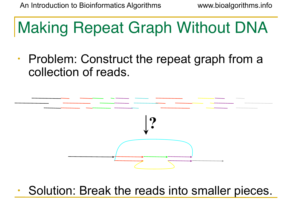### Making Repeat Graph Without DNA

• Problem: Construct the repeat graph from a collection of reads.



Solution: Break the reads into smaller pieces.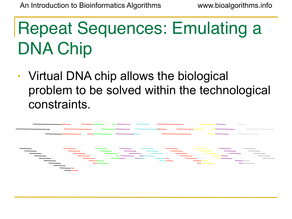# Repeat Sequences: Emulating a DNA Chip

• Virtual DNA chip allows the biological problem to be solved within the technological constraints.

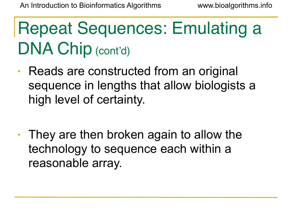## Repeat Sequences: Emulating a DNA Chip (cont'd)

- Reads are constructed from an original sequence in lengths that allow biologists a high level of certainty.
- They are then broken again to allow the technology to sequence each within a reasonable array.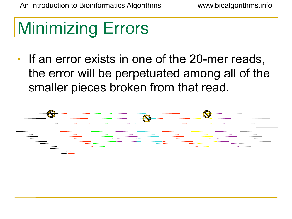# Minimizing Errors

• If an error exists in one of the 20-mer reads, the error will be perpetuated among all of the smaller pieces broken from that read.

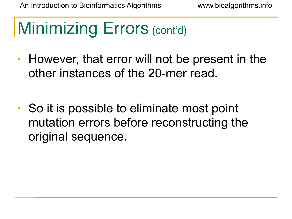# Minimizing Errors (cont'd)

- However, that error will not be present in the other instances of the 20-mer read.
- So it is possible to eliminate most point mutation errors before reconstructing the original sequence.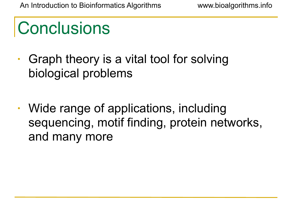## **Conclusions**

- Graph theory is a vital tool for solving biological problems
- Wide range of applications, including sequencing, motif finding, protein networks, and many more